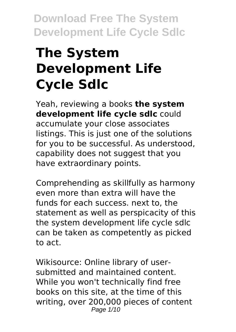# **The System Development Life Cycle Sdlc**

Yeah, reviewing a books **the system development life cycle sdlc** could accumulate your close associates listings. This is just one of the solutions for you to be successful. As understood, capability does not suggest that you have extraordinary points.

Comprehending as skillfully as harmony even more than extra will have the funds for each success. next to, the statement as well as perspicacity of this the system development life cycle sdlc can be taken as competently as picked to act.

Wikisource: Online library of usersubmitted and maintained content. While you won't technically find free books on this site, at the time of this writing, over 200,000 pieces of content Page 1/10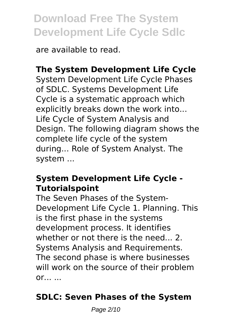are available to read.

## **The System Development Life Cycle**

System Development Life Cycle Phases of SDLC. Systems Development Life Cycle is a systematic approach which explicitly breaks down the work into... Life Cycle of System Analysis and Design. The following diagram shows the complete life cycle of the system during... Role of System Analyst. The system ...

#### **System Development Life Cycle - Tutorialspoint**

The Seven Phases of the System-Development Life Cycle 1. Planning. This is the first phase in the systems development process. It identifies whether or not there is the need... 2. Systems Analysis and Requirements. The second phase is where businesses will work on the source of their problem  $or...$  ...

## **SDLC: Seven Phases of the System**

Page 2/10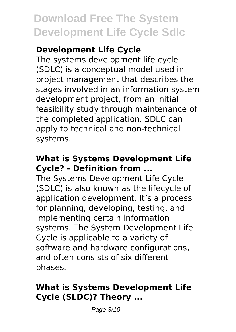## **Development Life Cycle**

The systems development life cycle (SDLC) is a conceptual model used in project management that describes the stages involved in an information system development project, from an initial feasibility study through maintenance of the completed application. SDLC can apply to technical and non-technical systems.

### **What is Systems Development Life Cycle? - Definition from ...**

The Systems Development Life Cycle (SDLC) is also known as the lifecycle of application development. It's a process for planning, developing, testing, and implementing certain information systems. The System Development Life Cycle is applicable to a variety of software and hardware configurations. and often consists of six different phases.

### **What is Systems Development Life Cycle (SLDC)? Theory ...**

Page 3/10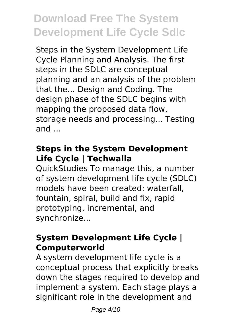Steps in the System Development Life Cycle Planning and Analysis. The first steps in the SDLC are conceptual planning and an analysis of the problem that the... Design and Coding. The design phase of the SDLC begins with mapping the proposed data flow, storage needs and processing... Testing and ...

### **Steps in the System Development Life Cycle | Techwalla**

QuickStudies To manage this, a number of system development life cycle (SDLC) models have been created: waterfall, fountain, spiral, build and fix, rapid prototyping, incremental, and synchronize...

### **System Development Life Cycle | Computerworld**

A system development life cycle is a conceptual process that explicitly breaks down the stages required to develop and implement a system. Each stage plays a significant role in the development and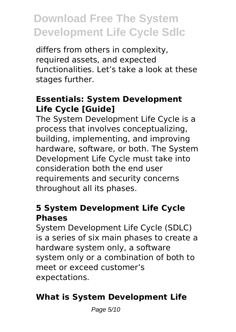differs from others in complexity, required assets, and expected functionalities. Let's take a look at these stages further.

### **Essentials: System Development Life Cycle [Guide]**

The System Development Life Cycle is a process that involves conceptualizing, building, implementing, and improving hardware, software, or both. The System Development Life Cycle must take into consideration both the end user requirements and security concerns throughout all its phases.

#### **5 System Development Life Cycle Phases**

System Development Life Cycle (SDLC) is a series of six main phases to create a hardware system only, a software system only or a combination of both to meet or exceed customer's expectations.

## **What is System Development Life**

Page 5/10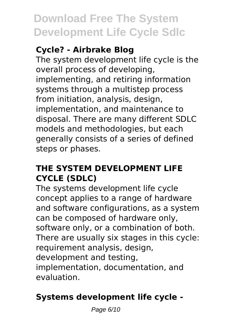## **Cycle? - Airbrake Blog**

The system development life cycle is the overall process of developing, implementing, and retiring information systems through a multistep process from initiation, analysis, design, implementation, and maintenance to disposal. There are many different SDLC models and methodologies, but each generally consists of a series of defined steps or phases.

## **THE SYSTEM DEVELOPMENT LIFE CYCLE (SDLC)**

The systems development life cycle concept applies to a range of hardware and software configurations, as a system can be composed of hardware only, software only, or a combination of both. There are usually six stages in this cycle: requirement analysis, design, development and testing, implementation, documentation, and evaluation.

## **Systems development life cycle -**

Page 6/10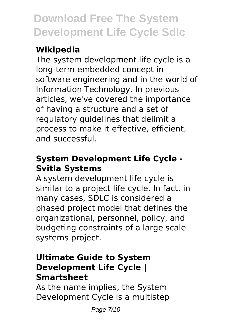## **Wikipedia**

The system development life cycle is a long-term embedded concept in software engineering and in the world of Information Technology. In previous articles, we've covered the importance of having a structure and a set of regulatory guidelines that delimit a process to make it effective, efficient, and successful.

## **System Development Life Cycle - Svitla Systems**

A system development life cycle is similar to a project life cycle. In fact, in many cases, SDLC is considered a phased project model that defines the organizational, personnel, policy, and budgeting constraints of a large scale systems project.

## **Ultimate Guide to System Development Life Cycle | Smartsheet**

As the name implies, the System Development Cycle is a multistep

Page 7/10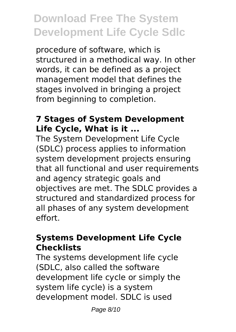procedure of software, which is structured in a methodical way. In other words, it can be defined as a project management model that defines the stages involved in bringing a project from beginning to completion.

### **7 Stages of System Development Life Cycle, What is it ...**

The System Development Life Cycle (SDLC) process applies to information system development projects ensuring that all functional and user requirements and agency strategic goals and objectives are met. The SDLC provides a structured and standardized process for all phases of any system development effort.

#### **Systems Development Life Cycle Checklists**

The systems development life cycle (SDLC, also called the software development life cycle or simply the system life cycle) is a system development model. SDLC is used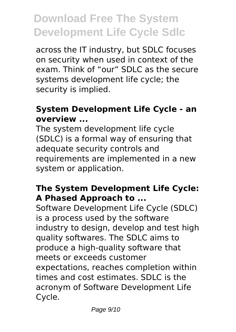across the IT industry, but SDLC focuses on security when used in context of the exam. Think of "our" SDLC as the secure systems development life cycle; the security is implied.

### **System Development Life Cycle - an overview ...**

The system development life cycle (SDLC) is a formal way of ensuring that adequate security controls and requirements are implemented in a new system or application.

## **The System Development Life Cycle: A Phased Approach to ...**

Software Development Life Cycle (SDLC) is a process used by the software industry to design, develop and test high quality softwares. The SDLC aims to produce a high-quality software that meets or exceeds customer expectations, reaches completion within times and cost estimates. SDLC is the acronym of Software Development Life Cycle.